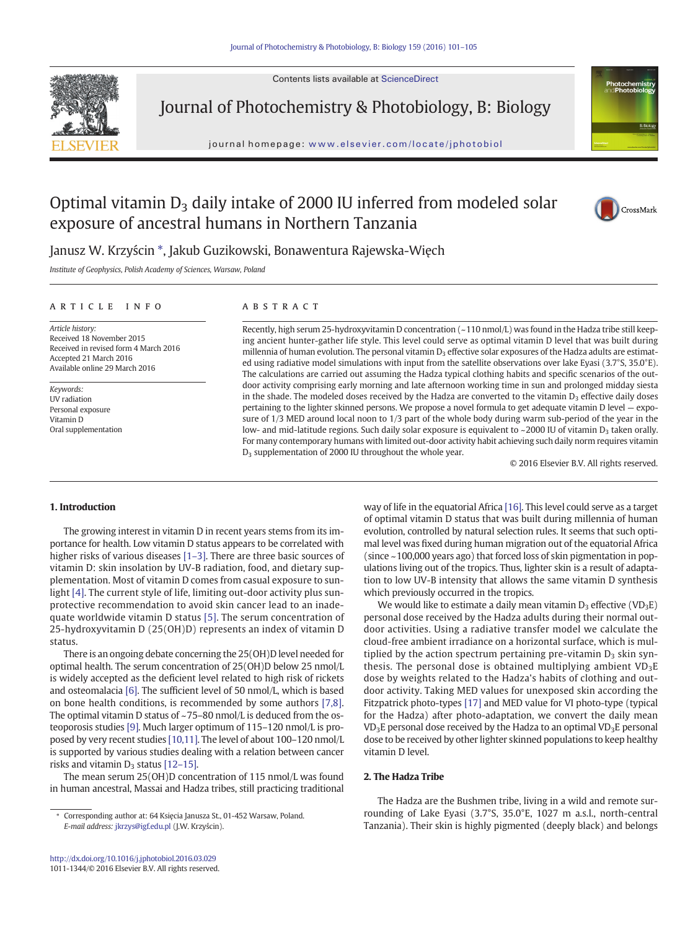Contents lists available at ScienceDirect



Journal of Photochemistry & Photobiology, B: Biology

journal homepage: <www.elsevier.com/locate/jphotobiol>



# Optimal vitamin  $D_3$  daily intake of 2000 IU inferred from modeled solar exposure of ancestral humans in Northern Tanzania



## Janusz W. Krzyścin \*, Jakub Guzikowski, Bonawentura Rajewska-Więch

Institute of Geophysics, Polish Academy of Sciences, Warsaw, Poland

#### article info abstract

Article history: Received 18 November 2015 Received in revised form 4 March 2016 Accepted 21 March 2016 Available online 29 March 2016

Keywords: UV radiation Personal exposure Vitamin D Oral supplementation

Recently, high serum 25-hydroxyvitamin D concentration (~110 nmol/L) was found in the Hadza tribe still keeping ancient hunter-gather life style. This level could serve as optimal vitamin D level that was built during millennia of human evolution. The personal vitamin  $D_3$  effective solar exposures of the Hadza adults are estimated using radiative model simulations with input from the satellite observations over lake Eyasi (3.7°S, 35.0°E). The calculations are carried out assuming the Hadza typical clothing habits and specific scenarios of the outdoor activity comprising early morning and late afternoon working time in sun and prolonged midday siesta in the shade. The modeled doses received by the Hadza are converted to the vitamin  $D_3$  effective daily doses pertaining to the lighter skinned persons. We propose a novel formula to get adequate vitamin D level — exposure of 1/3 MED around local noon to 1/3 part of the whole body during warm sub-period of the year in the low- and mid-latitude regions. Such daily solar exposure is equivalent to  $\sim$  2000 IU of vitamin D<sub>3</sub> taken orally. For many contemporary humans with limited out-door activity habit achieving such daily norm requires vitamin D<sub>3</sub> supplementation of 2000 IU throughout the whole year.

© 2016 Elsevier B.V. All rights reserved.

#### 1. Introduction

The growing interest in vitamin D in recent years stems from its importance for health. Low vitamin D status appears to be correlated with higher risks of various diseases [1-[3\].](#page-3-0) There are three basic sources of vitamin D: skin insolation by UV-B radiation, food, and dietary supplementation. Most of vitamin D comes from casual exposure to sunlight [\[4\].](#page-3-0) The current style of life, limiting out-door activity plus sunprotective recommendation to avoid skin cancer lead to an inadequate worldwide vitamin D status [\[5\].](#page-3-0) The serum concentration of 25-hydroxyvitamin D (25(OH)D) represents an index of vitamin D status.

There is an ongoing debate concerning the 25(OH)D level needed for optimal health. The serum concentration of 25(OH)D below 25 nmol/L is widely accepted as the deficient level related to high risk of rickets and osteomalacia [\[6\]](#page-3-0). The sufficient level of 50 nmol/L, which is based on bone health conditions, is recommended by some authors [\[7,8\].](#page-3-0) The optimal vitamin D status of ~75–80 nmol/L is deduced from the osteoporosis studies [\[9\]](#page-3-0). Much larger optimum of 115–120 nmol/L is proposed by very recent studies [\[10,11\].](#page-4-0) The level of about 100–120 nmol/L is supported by various studies dealing with a relation between cancer risks and vitamin  $D_3$  status [12–[15\].](#page-4-0)

The mean serum 25(OH)D concentration of 115 nmol/L was found in human ancestral, Massai and Hadza tribes, still practicing traditional way of life in the equatorial Africa [\[16\]](#page-4-0). This level could serve as a target of optimal vitamin D status that was built during millennia of human evolution, controlled by natural selection rules. It seems that such optimal level was fixed during human migration out of the equatorial Africa (since ~100,000 years ago) that forced loss of skin pigmentation in populations living out of the tropics. Thus, lighter skin is a result of adaptation to low UV-B intensity that allows the same vitamin D synthesis which previously occurred in the tropics.

We would like to estimate a daily mean vitamin  $D_3$  effective (VD<sub>3</sub>E) personal dose received by the Hadza adults during their normal outdoor activities. Using a radiative transfer model we calculate the cloud-free ambient irradiance on a horizontal surface, which is multiplied by the action spectrum pertaining pre-vitamin  $D_3$  skin synthesis. The personal dose is obtained multiplying ambient  $VD_3E$ dose by weights related to the Hadza's habits of clothing and outdoor activity. Taking MED values for unexposed skin according the Fitzpatrick photo-types [\[17\]](#page-4-0) and MED value for VI photo-type (typical for the Hadza) after photo-adaptation, we convert the daily mean  $VD<sub>3</sub>E$  personal dose received by the Hadza to an optimal  $VD<sub>3</sub>E$  personal dose to be received by other lighter skinned populations to keep healthy vitamin D level.

### 2. The Hadza Tribe

The Hadza are the Bushmen tribe, living in a wild and remote surrounding of Lake Eyasi (3.7°S, 35.0°E, 1027 m a.s.l., north-central Tanzania). Their skin is highly pigmented (deeply black) and belongs

Corresponding author at: 64 Księcia Janusza St., 01-452 Warsaw, Poland. E-mail address: [jkrzys@igf.edu.pl](mailto:jkrzys@igf.edu.pl) (J.W. Krzyścin).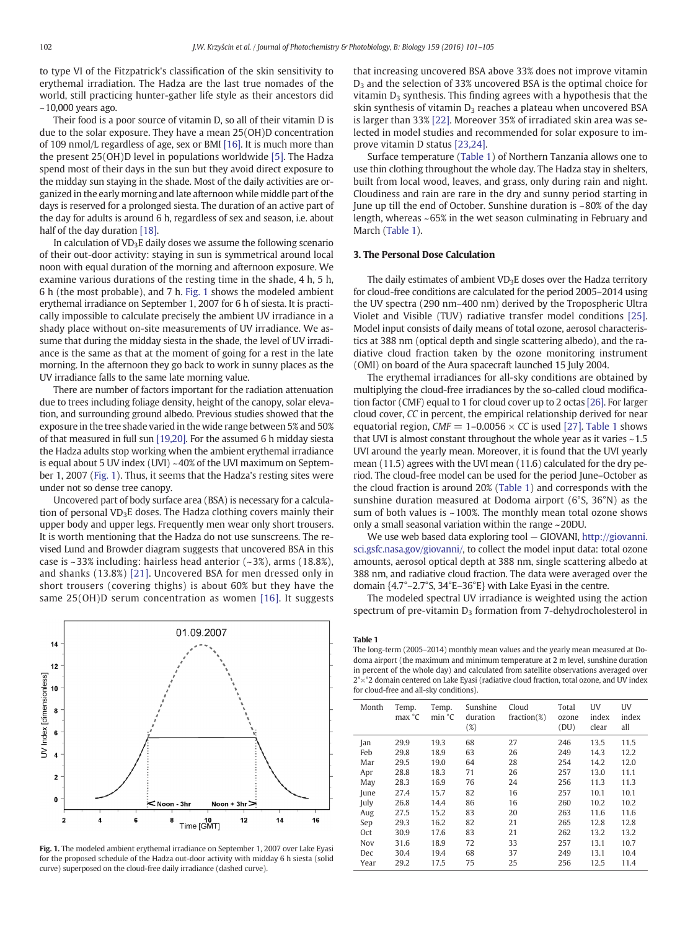<span id="page-1-0"></span>to type VI of the Fitzpatrick's classification of the skin sensitivity to erythemal irradiation. The Hadza are the last true nomades of the world, still practicing hunter-gather life style as their ancestors did  $\sim$ 10,000 years ago.

Their food is a poor source of vitamin D, so all of their vitamin D is due to the solar exposure. They have a mean 25(OH)D concentration of 109 nmol/L regardless of age, sex or BMI [\[16\]](#page-4-0). It is much more than the present 25(OH)D level in populations worldwide [\[5\].](#page-3-0) The Hadza spend most of their days in the sun but they avoid direct exposure to the midday sun staying in the shade. Most of the daily activities are organized in the early morning and late afternoon while middle part of the days is reserved for a prolonged siesta. The duration of an active part of the day for adults is around 6 h, regardless of sex and season, i.e. about half of the day duration [\[18\].](#page-4-0)

In calculation of  $VD<sub>3</sub>E$  daily doses we assume the following scenario of their out-door activity: staying in sun is symmetrical around local noon with equal duration of the morning and afternoon exposure. We examine various durations of the resting time in the shade, 4 h, 5 h, 6 h (the most probable), and 7 h. Fig. 1 shows the modeled ambient erythemal irradiance on September 1, 2007 for 6 h of siesta. It is practically impossible to calculate precisely the ambient UV irradiance in a shady place without on-site measurements of UV irradiance. We assume that during the midday siesta in the shade, the level of UV irradiance is the same as that at the moment of going for a rest in the late morning. In the afternoon they go back to work in sunny places as the UV irradiance falls to the same late morning value.

There are number of factors important for the radiation attenuation due to trees including foliage density, height of the canopy, solar elevation, and surrounding ground albedo. Previous studies showed that the exposure in the tree shade varied in the wide range between 5% and 50% of that measured in full sun [\[19,20\]](#page-4-0). For the assumed 6 h midday siesta the Hadza adults stop working when the ambient erythemal irradiance is equal about 5 UV index (UVI) ~40% of the UVI maximum on September 1, 2007 (Fig. 1). Thus, it seems that the Hadza's resting sites were under not so dense tree canopy.

Uncovered part of body surface area (BSA) is necessary for a calculation of personal  $VD<sub>3</sub>E$  doses. The Hadza clothing covers mainly their upper body and upper legs. Frequently men wear only short trousers. It is worth mentioning that the Hadza do not use sunscreens. The revised Lund and Browder diagram suggests that uncovered BSA in this case is ~33% including: hairless head anterior (~3%), arms (18.8%), and shanks (13.8%) [\[21\].](#page-4-0) Uncovered BSA for men dressed only in short trousers (covering thighs) is about 60% but they have the same 25(OH)D serum concentration as women [\[16\].](#page-4-0) It suggests



Fig. 1. The modeled ambient erythemal irradiance on September 1, 2007 over Lake Eyasi for the proposed schedule of the Hadza out-door activity with midday 6 h siesta (solid curve) superposed on the cloud-free daily irradiance (dashed curve).

that increasing uncovered BSA above 33% does not improve vitamin D<sub>3</sub> and the selection of 33% uncovered BSA is the optimal choice for vitamin  $D_3$  synthesis. This finding agrees with a hypothesis that the skin synthesis of vitamin  $D_3$  reaches a plateau when uncovered BSA is larger than 33% [\[22\].](#page-4-0) Moreover 35% of irradiated skin area was selected in model studies and recommended for solar exposure to improve vitamin D status [\[23,24\]](#page-4-0).

Surface temperature (Table 1) of Northern Tanzania allows one to use thin clothing throughout the whole day. The Hadza stay in shelters, built from local wood, leaves, and grass, only during rain and night. Cloudiness and rain are rare in the dry and sunny period starting in June up till the end of October. Sunshine duration is  $\sim 80\%$  of the day length, whereas ~65% in the wet season culminating in February and March (Table 1).

#### 3. The Personal Dose Calculation

The daily estimates of ambient  $VD<sub>3</sub>E$  doses over the Hadza territory for cloud-free conditions are calculated for the period 2005–2014 using the UV spectra (290 nm–400 nm) derived by the Tropospheric Ultra Violet and Visible (TUV) radiative transfer model conditions [\[25\].](#page-4-0) Model input consists of daily means of total ozone, aerosol characteristics at 388 nm (optical depth and single scattering albedo), and the radiative cloud fraction taken by the ozone monitoring instrument (OMI) on board of the Aura spacecraft launched 15 July 2004.

The erythemal irradiances for all-sky conditions are obtained by multiplying the cloud-free irradiances by the so-called cloud modification factor (CMF) equal to 1 for cloud cover up to 2 octas [\[26\]](#page-4-0). For larger cloud cover, CC in percent, the empirical relationship derived for near equatorial region,  $CMF = 1-0.0056 \times CC$  is used [\[27\]](#page-4-0). Table 1 shows that UVI is almost constant throughout the whole year as it varies ~1.5 UVI around the yearly mean. Moreover, it is found that the UVI yearly mean (11.5) agrees with the UVI mean (11.6) calculated for the dry period. The cloud-free model can be used for the period June–October as the cloud fraction is around 20% (Table 1) and corresponds with the sunshine duration measured at Dodoma airport (6°S, 36°N) as the sum of both values is ~100%. The monthly mean total ozone shows only a small seasonal variation within the range ~20DU.

We use web based data exploring tool — GIOVANI, [http://giovanni.](http://giovanni.sci.gsfc.nasa.gov/giovanni/) [sci.gsfc.nasa.gov/giovanni/,](http://giovanni.sci.gsfc.nasa.gov/giovanni/) to collect the model input data: total ozone amounts, aerosol optical depth at 388 nm, single scattering albedo at 388 nm, and radiative cloud fraction. The data were averaged over the domain {4.7°–2.7°S, 34°E–36°E} with Lake Eyasi in the centre.

The modeled spectral UV irradiance is weighted using the action spectrum of pre-vitamin  $D_3$  formation from 7-dehydrocholesterol in

#### Table 1

The long-term (2005–2014) monthly mean values and the yearly mean measured at Dodoma airport (the maximum and minimum temperature at 2 m level, sunshine duration in percent of the whole day) and calculated from satellite observations averaged over  $2^{\circ}\times$ °2 domain centered on Lake Eyasi (radiative cloud fraction, total ozone, and UV index for cloud-free and all-sky conditions).

| Month | Temp.<br>max °C | Temp.<br>min °C | Sunshine<br>duration<br>(%) | Cloud<br>$fraction(\%)$ | Total<br>ozone<br>(DU) | UV<br>index<br>clear | UV<br>index<br>all |
|-------|-----------------|-----------------|-----------------------------|-------------------------|------------------------|----------------------|--------------------|
| Jan   | 29.9            | 19.3            | 68                          | 27                      | 246                    | 13.5                 | 11.5               |
| Feb   | 29.8            | 18.9            | 63                          | 26                      | 249                    | 14.3                 | 12.2               |
| Mar   | 29.5            | 19.0            | 64                          | 28                      | 254                    | 14.2                 | 12.0               |
| Apr   | 28.8            | 18.3            | 71                          | 26                      | 257                    | 13.0                 | 11.1               |
| May   | 28.3            | 16.9            | 76                          | 24                      | 256                    | 11.3                 | 11.3               |
| June  | 27.4            | 15.7            | 82                          | 16                      | 257                    | 10.1                 | 10.1               |
| July  | 26.8            | 14.4            | 86                          | 16                      | 260                    | 10.2                 | 10.2               |
| Aug   | 27.5            | 15.2            | 83                          | 20                      | 263                    | 11.6                 | 11.6               |
| Sep   | 29.3            | 16.2            | 82                          | 21                      | 265                    | 12.8                 | 12.8               |
| Oct   | 30.9            | 17.6            | 83                          | 21                      | 262                    | 13.2                 | 13.2               |
| Nov   | 31.6            | 18.9            | 72                          | 33                      | 257                    | 13.1                 | 10.7               |
| Dec   | 30.4            | 19.4            | 68                          | 37                      | 249                    | 13.1                 | 10.4               |
| Year  | 29.2            | 17.5            | 75                          | 25                      | 256                    | 12.5                 | 11.4               |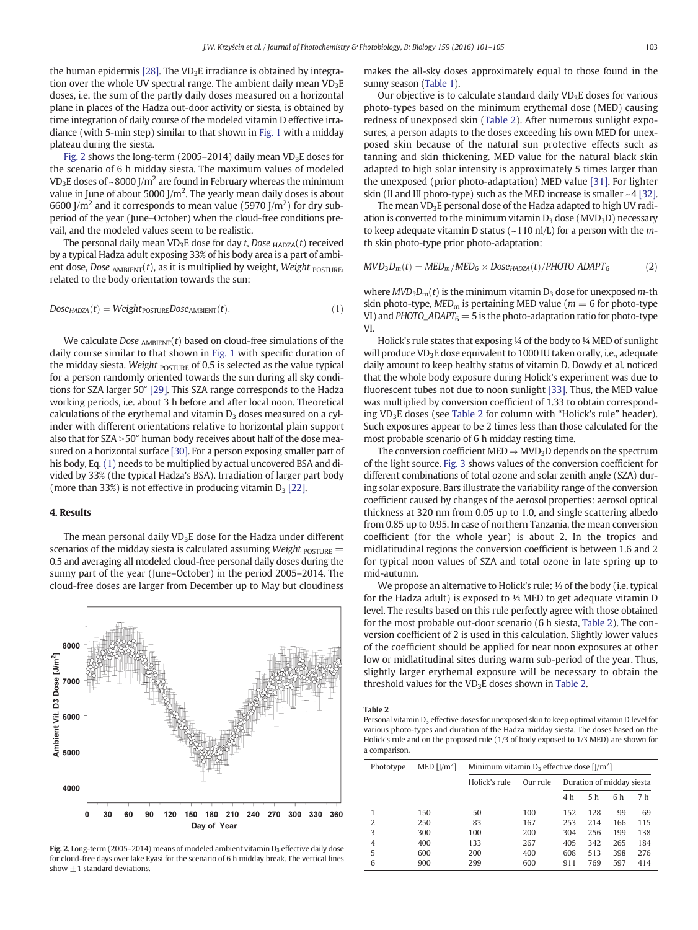<span id="page-2-0"></span>the human epidermis [\[28\].](#page-4-0) The VD<sub>3</sub>E irradiance is obtained by integration over the whole UV spectral range. The ambient daily mean  $VD_3E$ doses, i.e. the sum of the partly daily doses measured on a horizontal plane in places of the Hadza out-door activity or siesta, is obtained by time integration of daily course of the modeled vitamin D effective irradiance (with 5-min step) similar to that shown in [Fig. 1](#page-1-0) with a midday plateau during the siesta.

Fig. 2 shows the long-term (2005–2014) daily mean  $VD_3E$  doses for the scenario of 6 h midday siesta. The maximum values of modeled VD<sub>3</sub>E doses of ~8000 J/m<sup>2</sup> are found in February whereas the minimum value in June of about 5000 J/m<sup>2</sup>. The yearly mean daily doses is about 6600 J/m<sup>2</sup> and it corresponds to mean value (5970 J/m<sup>2</sup>) for dry subperiod of the year (June–October) when the cloud-free conditions prevail, and the modeled values seem to be realistic.

The personal daily mean  $VD_3E$  dose for day t, Dose  $HADZA(t)$  received by a typical Hadza adult exposing 33% of his body area is a part of ambient dose, Dose  $_{\text{AMBIENT}}(t)$ , as it is multiplied by weight, Weight POSTURE, related to the body orientation towards the sun:

$$
DoseHADZA(t) = WeightPOSTUREDoseAMBIENT(t).
$$
\n(1)

We calculate Dose  $_{\text{AMBIENT}}(t)$  based on cloud-free simulations of the daily course similar to that shown in [Fig. 1](#page-1-0) with specific duration of the midday siesta. Weight  $_{\text{POSTURE}}$  of 0.5 is selected as the value typical for a person randomly oriented towards the sun during all sky conditions for SZA larger 50° [\[29\].](#page-4-0) This SZA range corresponds to the Hadza working periods, i.e. about 3 h before and after local noon. Theoretical calculations of the erythemal and vitamin  $D_3$  doses measured on a cylinder with different orientations relative to horizontal plain support also that for  $SZA > 50°$  human body receives about half of the dose measured on a horizontal surface [\[30\]](#page-4-0). For a person exposing smaller part of his body, Eq. (1) needs to be multiplied by actual uncovered BSA and divided by 33% (the typical Hadza's BSA). Irradiation of larger part body (more than 33%) is not effective in producing vitamin  $D_3$  [\[22\]](#page-4-0).

#### 4. Results

The mean personal daily  $VD<sub>3</sub>E$  dose for the Hadza under different scenarios of the midday siesta is calculated assuming Weight  $_{\text{POSTURE}}$  = 0.5 and averaging all modeled cloud-free personal daily doses during the sunny part of the year (June–October) in the period 2005–2014. The cloud-free doses are larger from December up to May but cloudiness



Fig. 2. Long-term (2005–2014) means of modeled ambient vitamin  $D_3$  effective daily dose for cloud-free days over lake Eyasi for the scenario of 6 h midday break. The vertical lines show  $\pm 1$  standard deviations.

makes the all-sky doses approximately equal to those found in the sunny season ([Table 1\)](#page-1-0).

Our objective is to calculate standard daily  $VD_3E$  doses for various photo-types based on the minimum erythemal dose (MED) causing redness of unexposed skin (Table 2). After numerous sunlight exposures, a person adapts to the doses exceeding his own MED for unexposed skin because of the natural sun protective effects such as tanning and skin thickening. MED value for the natural black skin adapted to high solar intensity is approximately 5 times larger than the unexposed (prior photo-adaptation) MED value [\[31\].](#page-4-0) For lighter skin (II and III photo-type) such as the MED increase is smaller  $\sim$  4 [\[32\].](#page-4-0)

The mean  $VD<sub>3</sub>E$  personal dose of the Hadza adapted to high UV radiation is converted to the minimum vitamin  $D_3$  dose (MVD<sub>3</sub>D) necessary to keep adequate vitamin D status ( $\sim$ 110 nl/L) for a person with the *m*th skin photo-type prior photo-adaptation:

$$
MVD_3D_m(t) = MED_m/MED_6 \times Dose_{HADZA}(t)/PHOTOADAPT_6
$$
 (2)

where  $MVD<sub>3</sub>D<sub>m</sub>(t)$  is the minimum vitamin  $D<sub>3</sub>$  dose for unexposed m-th skin photo-type,  $MED<sub>m</sub>$  is pertaining MED value ( $m = 6$  for photo-type VI) and PHOTO\_ADAPT $_6$  = 5 is the photo-adaptation ratio for photo-type VI.

Holick's rule states that exposing ¼ of the body to ¼ MED of sunlight will produce VD<sub>3</sub>E dose equivalent to 1000 IU taken orally, i.e., adequate daily amount to keep healthy status of vitamin D. Dowdy et al. noticed that the whole body exposure during Holick's experiment was due to fluorescent tubes not due to noon sunlight [\[33\].](#page-4-0) Thus, the MED value was multiplied by conversion coefficient of 1.33 to obtain corresponding VD<sub>3</sub>E doses (see Table 2 for column with "Holick's rule" header). Such exposures appear to be 2 times less than those calculated for the most probable scenario of 6 h midday resting time.

The conversion coefficient MED  $\rightarrow$  MVD<sub>3</sub>D depends on the spectrum of the light source. [Fig. 3](#page-3-0) shows values of the conversion coefficient for different combinations of total ozone and solar zenith angle (SZA) during solar exposure. Bars illustrate the variability range of the conversion coefficient caused by changes of the aerosol properties: aerosol optical thickness at 320 nm from 0.05 up to 1.0, and single scattering albedo from 0.85 up to 0.95. In case of northern Tanzania, the mean conversion coefficient (for the whole year) is about 2. In the tropics and midlatitudinal regions the conversion coefficient is between 1.6 and 2 for typical noon values of SZA and total ozone in late spring up to mid-autumn.

We propose an alternative to Holick's rule: ⅓ of the body (i.e. typical for the Hadza adult) is exposed to ⅓ MED to get adequate vitamin D level. The results based on this rule perfectly agree with those obtained for the most probable out-door scenario (6 h siesta, Table 2). The conversion coefficient of 2 is used in this calculation. Slightly lower values of the coefficient should be applied for near noon exposures at other low or midlatitudinal sites during warm sub-period of the year. Thus, slightly larger erythemal exposure will be necessary to obtain the threshold values for the  $VD<sub>3</sub>E$  doses shown in Table 2.

Table 2

Personal vitamin  $D_3$  effective doses for unexposed skin to keep optimal vitamin D level for various photo-types and duration of the Hadza midday siesta. The doses based on the Holick's rule and on the proposed rule (1/3 of body exposed to 1/3 MED) are shown for a comparison.

| Phototype | MED $[1/m^2]$ | Minimum vitamin $D_3$ effective dose [J/m <sup>2</sup> ] |          |                           |                |     |     |
|-----------|---------------|----------------------------------------------------------|----------|---------------------------|----------------|-----|-----|
|           |               | Holick's rule                                            | Our rule | Duration of midday siesta |                |     |     |
|           |               |                                                          |          | 4 h                       | 5 <sub>h</sub> | 6 h | 7 h |
|           | 150           | 50                                                       | 100      | 152                       | 128            | 99  | 69  |
| 2         | 250           | 83                                                       | 167      | 253                       | 214            | 166 | 115 |
| 3         | 300           | 100                                                      | 200      | 304                       | 256            | 199 | 138 |
| 4         | 400           | 133                                                      | 267      | 405                       | 342            | 265 | 184 |
| 5         | 600           | 200                                                      | 400      | 608                       | 513            | 398 | 276 |
| 6         | 900           | 299                                                      | 600      | 911                       | 769            | 597 | 414 |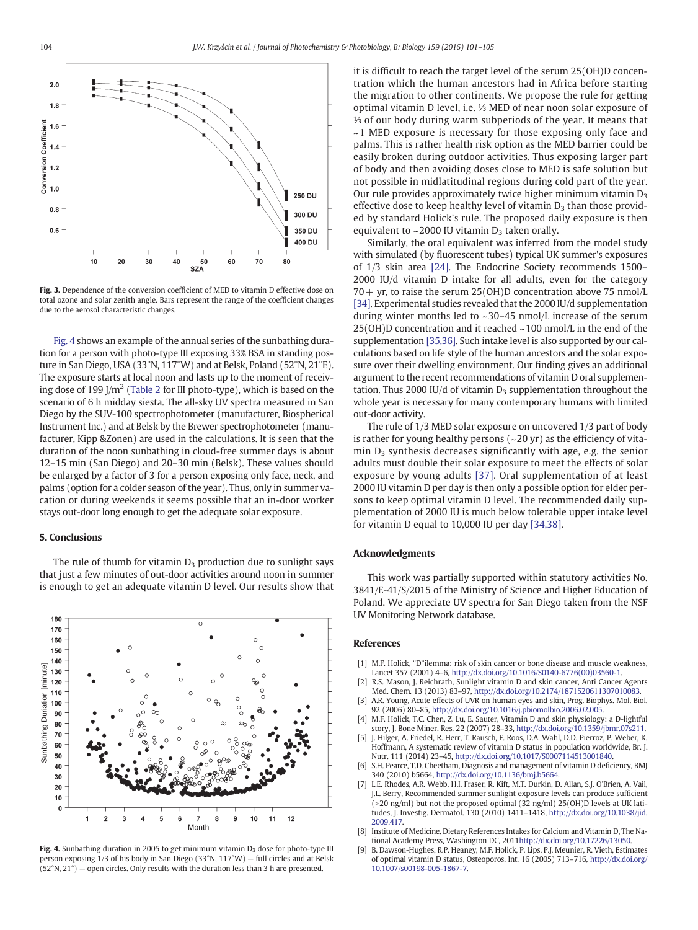<span id="page-3-0"></span>

Fig. 3. Dependence of the conversion coefficient of MED to vitamin D effective dose on total ozone and solar zenith angle. Bars represent the range of the coefficient changes due to the aerosol characteristic changes.

Fig. 4 shows an example of the annual series of the sunbathing duration for a person with photo-type III exposing 33% BSA in standing posture in San Diego, USA (33°N, 117°W) and at Belsk, Poland (52°N, 21°E). The exposure starts at local noon and lasts up to the moment of receiv-ing dose of 199 J/m<sup>2</sup> [\(Table 2](#page-2-0) for III photo-type), which is based on the scenario of 6 h midday siesta. The all-sky UV spectra measured in San Diego by the SUV-100 spectrophotometer (manufacturer, Biospherical Instrument Inc.) and at Belsk by the Brewer spectrophotometer (manufacturer, Kipp &Zonen) are used in the calculations. It is seen that the duration of the noon sunbathing in cloud-free summer days is about 12–15 min (San Diego) and 20–30 min (Belsk). These values should be enlarged by a factor of 3 for a person exposing only face, neck, and palms (option for a colder season of the year). Thus, only in summer vacation or during weekends it seems possible that an in-door worker stays out-door long enough to get the adequate solar exposure.

#### 5. Conclusions



The rule of thumb for vitamin  $D_3$  production due to sunlight says that just a few minutes of out-door activities around noon in summer is enough to get an adequate vitamin D level. Our results show that

Fig. 4. Sunbathing duration in 2005 to get minimum vitamin  $D_3$  dose for photo-type III person exposing 1/3 of his body in San Diego (33°N, 117°W) — full circles and at Belsk  $(52°N, 21°)$  – open circles. Only results with the duration less than 3 h are presented.

it is difficult to reach the target level of the serum 25(OH)D concentration which the human ancestors had in Africa before starting the migration to other continents. We propose the rule for getting optimal vitamin D level, i.e. ⅓ MED of near noon solar exposure of ⅓ of our body during warm subperiods of the year. It means that ~1 MED exposure is necessary for those exposing only face and palms. This is rather health risk option as the MED barrier could be easily broken during outdoor activities. Thus exposing larger part of body and then avoiding doses close to MED is safe solution but not possible in midlatitudinal regions during cold part of the year. Our rule provides approximately twice higher minimum vitamin  $D_3$ effective dose to keep healthy level of vitamin  $D_3$  than those provided by standard Holick's rule. The proposed daily exposure is then equivalent to  $\sim$  2000 IU vitamin  $D_3$  taken orally.

Similarly, the oral equivalent was inferred from the model study with simulated (by fluorescent tubes) typical UK summer's exposures of 1/3 skin area [\[24\].](#page-4-0) The Endocrine Society recommends 1500– 2000 IU/d vitamin D intake for all adults, even for the category  $70 + yr$ , to raise the serum 25(OH)D concentration above 75 nmol/L [\[34\]](#page-4-0). Experimental studies revealed that the 2000 IU/d supplementation during winter months led to ~30–45 nmol/L increase of the serum 25(OH)D concentration and it reached ~100 nmol/L in the end of the supplementation [\[35,36\].](#page-4-0) Such intake level is also supported by our calculations based on life style of the human ancestors and the solar exposure over their dwelling environment. Our finding gives an additional argument to the recent recommendations of vitamin D oral supplementation. Thus 2000 IU/d of vitamin  $D_3$  supplementation throughout the whole year is necessary for many contemporary humans with limited out-door activity.

The rule of 1/3 MED solar exposure on uncovered 1/3 part of body is rather for young healthy persons  $(-20 \text{ yr})$  as the efficiency of vita- $\min D_3$  synthesis decreases significantly with age, e.g. the senior adults must double their solar exposure to meet the effects of solar exposure by young adults [\[37\]](#page-4-0). Oral supplementation of at least 2000 IU vitamin D per day is then only a possible option for elder persons to keep optimal vitamin D level. The recommended daily supplementation of 2000 IU is much below tolerable upper intake level for vitamin D equal to 10,000 IU per day [\[34,38\]](#page-4-0).

#### Acknowledgments

This work was partially supported within statutory activities No. 3841/E-41/S/2015 of the Ministry of Science and Higher Education of Poland. We appreciate UV spectra for San Diego taken from the NSF UV Monitoring Network database.

#### **References**

- [1] M.F. Holick, "D"ilemma: risk of skin cancer or bone disease and muscle weakness, Lancet 357 (2001) 4–6, http://dx.doi.org[/10.1016/S0140-6776\(00\)03560-1.](http://dx.doi.org/10.1016/S0140-6776(00)03560-1)
- [2] R.S. Mason, J. Reichrath, Sunlight vitamin D and skin cancer, Anti Cancer Agents Med. Chem. 13 (2013) 83–97, http://dx.doi.org/[10.2174/1871520611307010083](http://dx.doi.org/10.2174/1871520611307010083).
- [3] A.R. Young, Acute effects of UVR on human eyes and skin, Prog. Biophys. Mol. Biol. 92 (2006) 80–85, http://dx.doi.org/[10.1016/j.pbiomolbio.2006.02.005](http://dx.doi.org/10.1016/j.pbiomolbio.2006.02.005).
- [4] M.F. Holick, T.C. Chen, Z. Lu, E. Sauter, Vitamin D and skin physiology: a D-lightful story, J. Bone Miner. Res. 22 (2007) 28–33, http://dx.doi.org/[10.1359/jbmr.07s211](http://dx.doi.org/10.1359/jbmr.07s211).
- [5] J. Hilger, A. Friedel, R. Herr, T. Rausch, F. Roos, D.A. Wahl, D.D. Pierroz, P. Weber, K. Hoffmann, A systematic review of vitamin D status in population worldwide, Br. J. Nutr. 111 (2014) 23–45, http://dx.doi.org[/10.1017/S0007114513001840](http://dx.doi.org/10.1017/S0007114513001840).
- S.H. Pearce, T.D. Cheetham, Diagnosis and management of vitamin D deficiency, BMJ 340 (2010) b5664, http://dx.doi.org[/10.1136/bmj.b5664](http://dx.doi.org/10.1136/bmj.b5664).
- [7] L.E. Rhodes, A.R. Webb, H.I. Fraser, R. Kift, M.T. Durkin, D. Allan, S.J. O'Brien, A. Vail, J.L. Berry, Recommended summer sunlight exposure levels can produce sufficient  $(>20 \text{ ng/ml})$  but not the proposed optimal (32 ng/ml) 25(OH)D levels at UK latitudes, J. Investig. Dermatol. 130 (2010) 1411–1418, http://dx.doi.org[/10.1038/jid.](http://dx.doi.org/10.1038/jid.2009.417) [2009.417](http://dx.doi.org/10.1038/jid.2009.417).
- [8] Institute of Medicine. Dietary References Intakes for Calcium and Vitamin D, The National Academy Press, Washington DC, 2011http://dx.doi.org[/10.17226/13050](http://dx.doi.org/10.17226/13050).
- [9] B. Dawson-Hughes, R.P. Heaney, M.F. Holick, P. Lips, P.J. Meunier, R. Vieth, Estimates of optimal vitamin D status, Osteoporos. Int. 16 (2005) 713–716, http://dx.doi.org/ [10.1007/s00198-005-1867-7](http://dx.doi.org/10.1007/s00198-005-1867-7).